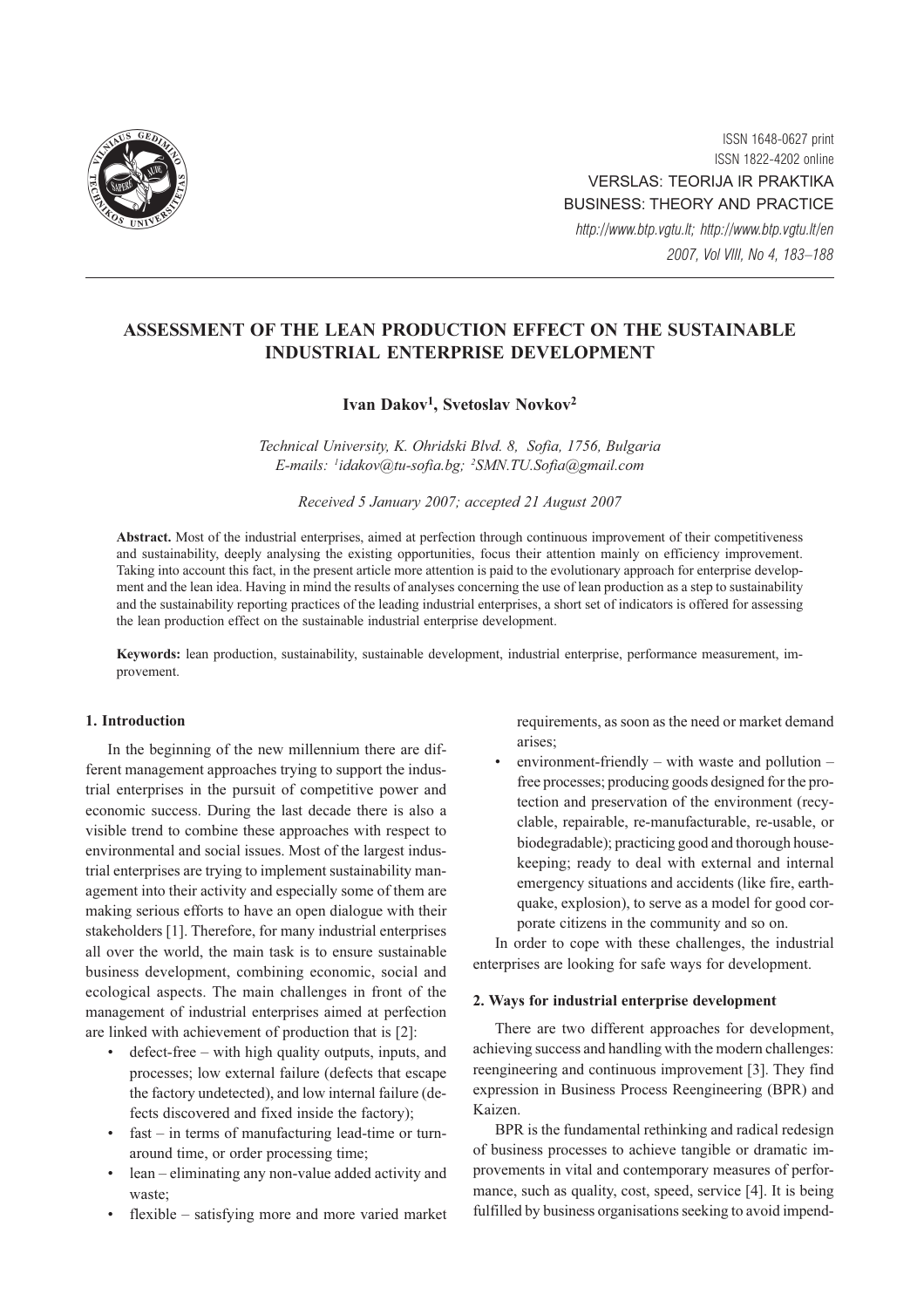

ISSN 1648-0627 print ISSN 1822-4202 online VERSLAS: TEORIJA IR PRAKTIKA BUSINESS: THEORY AND PRACTICE http://www.btp.vgtu.lt; http://www.btp.vgtu.lt/en 2007, Vol VIII, No 4, 183–188

# ASSESSMENT OF THE LEAN PRODUCTION EFFECT ON THE SUSTAINABLE INDUSTRIAL ENTERPRISE DEVELOPMENT

# Ivan Dakov<sup>1</sup>, Svetoslav Novkov<sup>2</sup>

Technical University, K. Ohridski Blvd. 8, Sofia, 1756, Bulgaria E-mails: <sup>1</sup> idakov@tu-sofia.bg; <sup>2</sup> SMN.TU.Sofia@gmail.com

Received 5 January 2007; accepted 21 August 2007

Abstract. Most of the industrial enterprises, aimed at perfection through continuous improvement of their competitiveness and sustainability, deeply analysing the existing opportunities, focus their attention mainly on efficiency improvement. Taking into account this fact, in the present article more attention is paid to the evolutionary approach for enterprise development and the lean idea. Having in mind the results of analyses concerning the use of lean production as a step to sustainability and the sustainability reporting practices of the leading industrial enterprises, a short set of indicators is offered for assessing the lean production effect on the sustainable industrial enterprise development.

Keywords: lean production, sustainability, sustainable development, industrial enterprise, performance measurement, improvement.

## 1. Introduction

In the beginning of the new millennium there are different management approaches trying to support the industrial enterprises in the pursuit of competitive power and economic success. During the last decade there is also a visible trend to combine these approaches with respect to environmental and social issues. Most of the largest industrial enterprises are trying to implement sustainability management into their activity and especially some of them are making serious efforts to have an open dialogue with their stakeholders [1]. Therefore, for many industrial enterprises all over the world, the main task is to ensure sustainable business development, combining economic, social and ecological aspects. The main challenges in front of the management of industrial enterprises aimed at perfection are linked with achievement of production that is [2]:

- defect-free with high quality outputs, inputs, and processes; low external failure (defects that escape the factory undetected), and low internal failure (defects discovered and fixed inside the factory);
- $fast in terms of manufacturing lead-time or turn$ around time, or order processing time;
- lean eliminating any non-value added activity and waste;
- flexible satisfying more and more varied market

requirements, as soon as the need or market demand arises;

environment-friendly – with waste and pollution – free processes; producing goods designed for the protection and preservation of the environment (recyclable, repairable, re-manufacturable, re-usable, or biodegradable); practicing good and thorough housekeeping; ready to deal with external and internal emergency situations and accidents (like fire, earthquake, explosion), to serve as a model for good corporate citizens in the community and so on.

In order to cope with these challenges, the industrial enterprises are looking for safe ways for development.

### 2. Ways for industrial enterprise development

There are two different approaches for development, achieving success and handling with the modern challenges: reengineering and continuous improvement [3]. They find expression in Business Process Reengineering (BPR) and Kaizen.

BPR is the fundamental rethinking and radical redesign of business processes to achieve tangible or dramatic improvements in vital and contemporary measures of performance, such as quality, cost, speed, service [4]. It is being fulfilled by business organisations seeking to avoid impend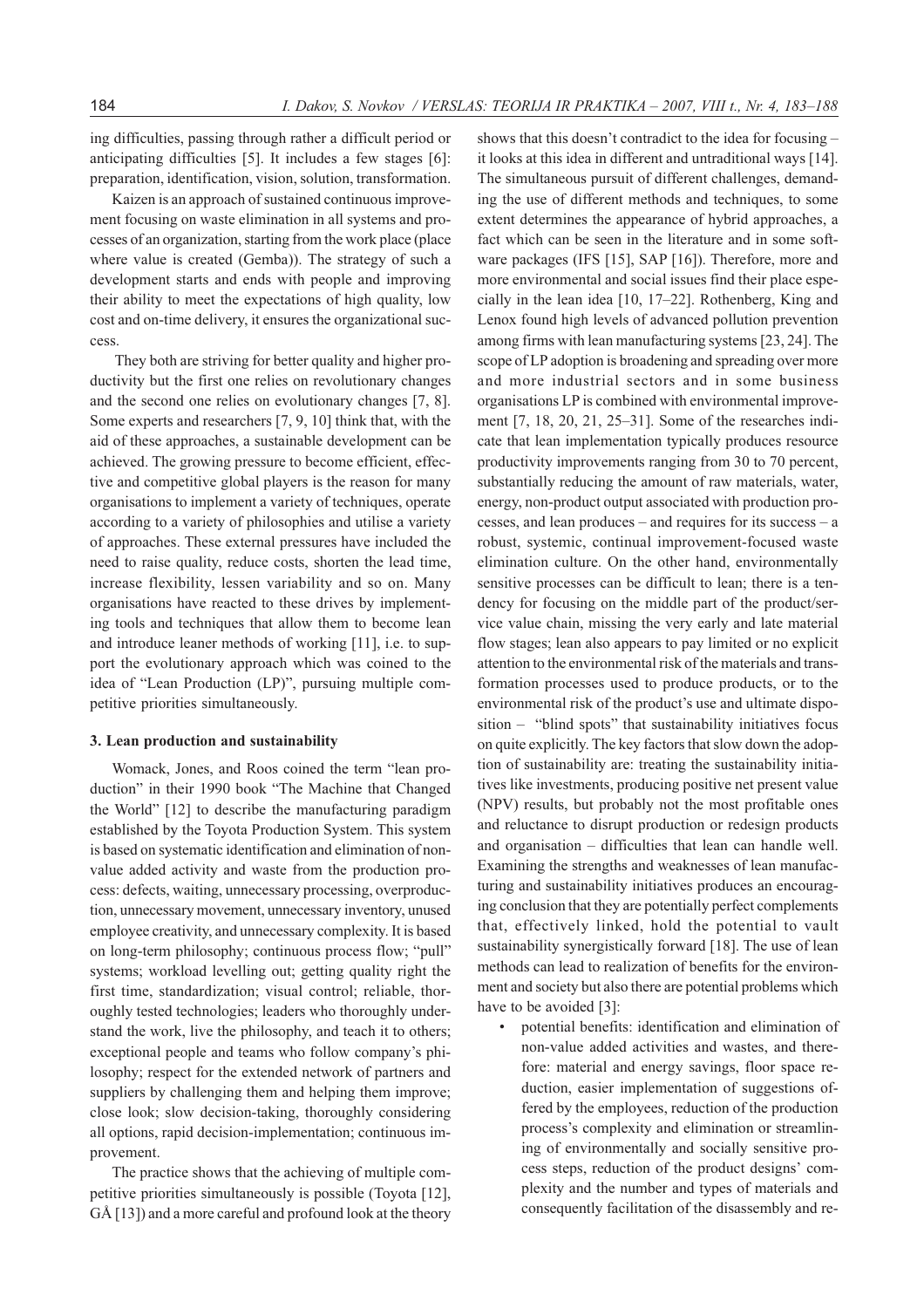ing difficulties, passing through rather a difficult period or anticipating difficulties [5]. It includes a few stages [6]: preparation, identification, vision, solution, transformation.

Kaizen is an approach of sustained continuous improvement focusing on waste elimination in all systems and processes of an organization, starting from the work place (place where value is created (Gemba)). The strategy of such a development starts and ends with people and improving their ability to meet the expectations of high quality, low cost and on-time delivery, it ensures the organizational success.

 They both are striving for better quality and higher productivity but the first one relies on revolutionary changes and the second one relies on evolutionary changes [7, 8]. Some experts and researchers [7, 9, 10] think that, with the aid of these approaches, a sustainable development can be achieved. The growing pressure to become efficient, effective and competitive global players is the reason for many organisations to implement a variety of techniques, operate according to a variety of philosophies and utilise a variety of approaches. These external pressures have included the need to raise quality, reduce costs, shorten the lead time, increase flexibility, lessen variability and so on. Many organisations have reacted to these drives by implementing tools and techniques that allow them to become lean and introduce leaner methods of working [11], i.e. to support the evolutionary approach which was coined to the idea of "Lean Production (LP)", pursuing multiple competitive priorities simultaneously.

### 3. Lean production and sustainability

Womack, Jones, and Roos coined the term "lean production" in their 1990 book "The Machine that Changed the World" [12] to describe the manufacturing paradigm established by the Toyota Production System. This system is based on systematic identification and elimination of nonvalue added activity and waste from the production process: defects, waiting, unnecessary processing, overproduction, unnecessary movement, unnecessary inventory, unused employee creativity, and unnecessary complexity. It is based on long-term philosophy; continuous process flow; "pull" systems; workload levelling out; getting quality right the first time, standardization; visual control; reliable, thoroughly tested technologies; leaders who thoroughly understand the work, live the philosophy, and teach it to others; exceptional people and teams who follow company's philosophy; respect for the extended network of partners and suppliers by challenging them and helping them improve; close look; slow decision-taking, thoroughly considering all options, rapid decision-implementation; continuous improvement.

The practice shows that the achieving of multiple competitive priorities simultaneously is possible (Toyota [12], GÅ [13]) and a more careful and profound look at the theory

shows that this doesn't contradict to the idea for focusing – it looks at this idea in different and untraditional ways [14]. The simultaneous pursuit of different challenges, demanding the use of different methods and techniques, to some extent determines the appearance of hybrid approaches, a fact which can be seen in the literature and in some software packages (IFS [15], SAP [16]). Therefore, more and more environmental and social issues find their place especially in the lean idea [10, 17–22]. Rothenberg, King and Lenox found high levels of advanced pollution prevention among firms with lean manufacturing systems [23, 24]. The scope of LP adoption is broadening and spreading over more and more industrial sectors and in some business organisations LP is combined with environmental improvement [7, 18, 20, 21, 25–31]. Some of the researches indicate that lean implementation typically produces resource productivity improvements ranging from 30 to 70 percent, substantially reducing the amount of raw materials, water, energy, non-product output associated with production processes, and lean produces – and requires for its success – a robust, systemic, continual improvement-focused waste elimination culture. On the other hand, environmentally sensitive processes can be difficult to lean; there is a tendency for focusing on the middle part of the product/service value chain, missing the very early and late material flow stages; lean also appears to pay limited or no explicit attention to the environmental risk of the materials and transformation processes used to produce products, or to the environmental risk of the product's use and ultimate disposition – "blind spots" that sustainability initiatives focus on quite explicitly. The key factors that slow down the adoption of sustainability are: treating the sustainability initiatives like investments, producing positive net present value (NPV) results, but probably not the most profitable ones and reluctance to disrupt production or redesign products and organisation – difficulties that lean can handle well. Examining the strengths and weaknesses of lean manufacturing and sustainability initiatives produces an encouraging conclusion that they are potentially perfect complements that, effectively linked, hold the potential to vault sustainability synergistically forward [18]. The use of lean methods can lead to realization of benefits for the environment and society but also there are potential problems which have to be avoided [3]:

• potential benefits: identification and elimination of non-value added activities and wastes, and therefore: material and energy savings, floor space reduction, easier implementation of suggestions offered by the employees, reduction of the production process's complexity and elimination or streamlining of environmentally and socially sensitive process steps, reduction of the product designs' complexity and the number and types of materials and consequently facilitation of the disassembly and re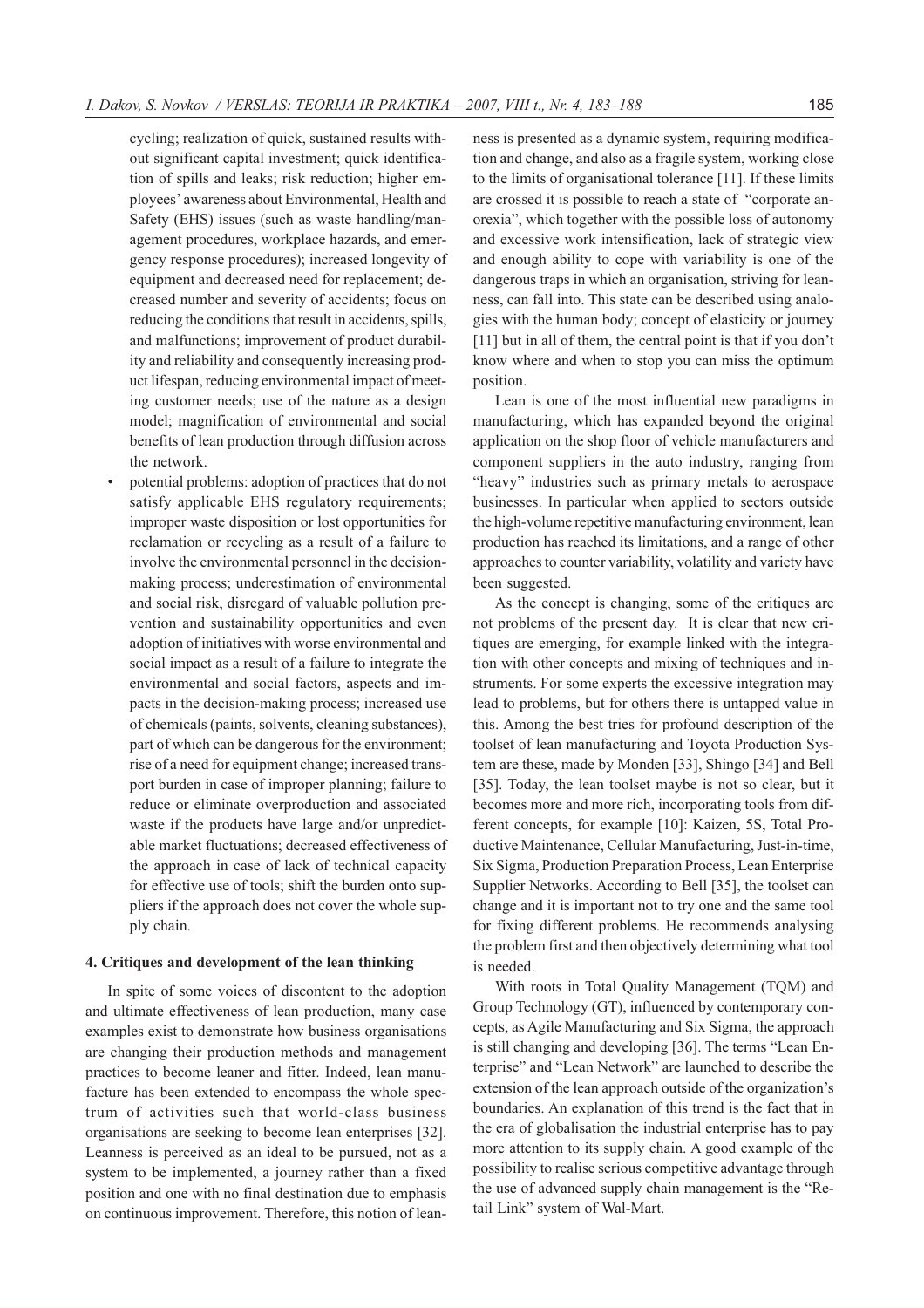cycling; realization of quick, sustained results without significant capital investment; quick identification of spills and leaks; risk reduction; higher employees' awareness about Environmental, Health and Safety (EHS) issues (such as waste handling/management procedures, workplace hazards, and emergency response procedures); increased longevity of equipment and decreased need for replacement; decreased number and severity of accidents; focus on reducing the conditions that result in accidents, spills, and malfunctions; improvement of product durability and reliability and consequently increasing product lifespan, reducing environmental impact of meeting customer needs; use of the nature as a design model; magnification of environmental and social benefits of lean production through diffusion across the network.

• potential problems: adoption of practices that do not satisfy applicable EHS regulatory requirements; improper waste disposition or lost opportunities for reclamation or recycling as a result of a failure to involve the environmental personnel in the decisionmaking process; underestimation of environmental and social risk, disregard of valuable pollution prevention and sustainability opportunities and even adoption of initiatives with worse environmental and social impact as a result of a failure to integrate the environmental and social factors, aspects and impacts in the decision-making process; increased use of chemicals (paints, solvents, cleaning substances), part of which can be dangerous for the environment; rise of a need for equipment change; increased transport burden in case of improper planning; failure to reduce or eliminate overproduction and associated waste if the products have large and/or unpredictable market fluctuations; decreased effectiveness of the approach in case of lack of technical capacity for effective use of tools; shift the burden onto suppliers if the approach does not cover the whole supply chain.

### 4. Critiques and development of the lean thinking

In spite of some voices of discontent to the adoption and ultimate effectiveness of lean production, many case examples exist to demonstrate how business organisations are changing their production methods and management practices to become leaner and fitter. Indeed, lean manufacture has been extended to encompass the whole spectrum of activities such that world-class business organisations are seeking to become lean enterprises [32]. Leanness is perceived as an ideal to be pursued, not as a system to be implemented, a journey rather than a fixed position and one with no final destination due to emphasis on continuous improvement. Therefore, this notion of leanness is presented as a dynamic system, requiring modification and change, and also as a fragile system, working close to the limits of organisational tolerance [11]. If these limits are crossed it is possible to reach a state of "corporate anorexia", which together with the possible loss of autonomy and excessive work intensification, lack of strategic view and enough ability to cope with variability is one of the dangerous traps in which an organisation, striving for leanness, can fall into. This state can be described using analogies with the human body; concept of elasticity or journey [11] but in all of them, the central point is that if you don't know where and when to stop you can miss the optimum position.

Lean is one of the most influential new paradigms in manufacturing, which has expanded beyond the original application on the shop floor of vehicle manufacturers and component suppliers in the auto industry, ranging from "heavy" industries such as primary metals to aerospace businesses. In particular when applied to sectors outside the high-volume repetitive manufacturing environment, lean production has reached its limitations, and a range of other approaches to counter variability, volatility and variety have been suggested.

As the concept is changing, some of the critiques are not problems of the present day. It is clear that new critiques are emerging, for example linked with the integration with other concepts and mixing of techniques and instruments. For some experts the excessive integration may lead to problems, but for others there is untapped value in this. Among the best tries for profound description of the toolset of lean manufacturing and Toyota Production System are these, made by Monden [33], Shingo [34] and Bell [35]. Today, the lean toolset maybe is not so clear, but it becomes more and more rich, incorporating tools from different concepts, for example [10]: Kaizen, 5S, Total Productive Maintenance, Cellular Manufacturing, Just-in-time, Six Sigma, Production Preparation Process, Lean Enterprise Supplier Networks. According to Bell [35], the toolset can change and it is important not to try one and the same tool for fixing different problems. He recommends analysing the problem first and then objectively determining what tool is needed.

With roots in Total Quality Management (TQM) and Group Technology (GT), influenced by contemporary concepts, as Agile Manufacturing and Six Sigma, the approach is still changing and developing [36]. The terms "Lean Enterprise" and "Lean Network" are launched to describe the extension of the lean approach outside of the organization's boundaries. An explanation of this trend is the fact that in the era of globalisation the industrial enterprise has to pay more attention to its supply chain. A good example of the possibility to realise serious competitive advantage through the use of advanced supply chain management is the "Retail Link" system of Wal-Mart.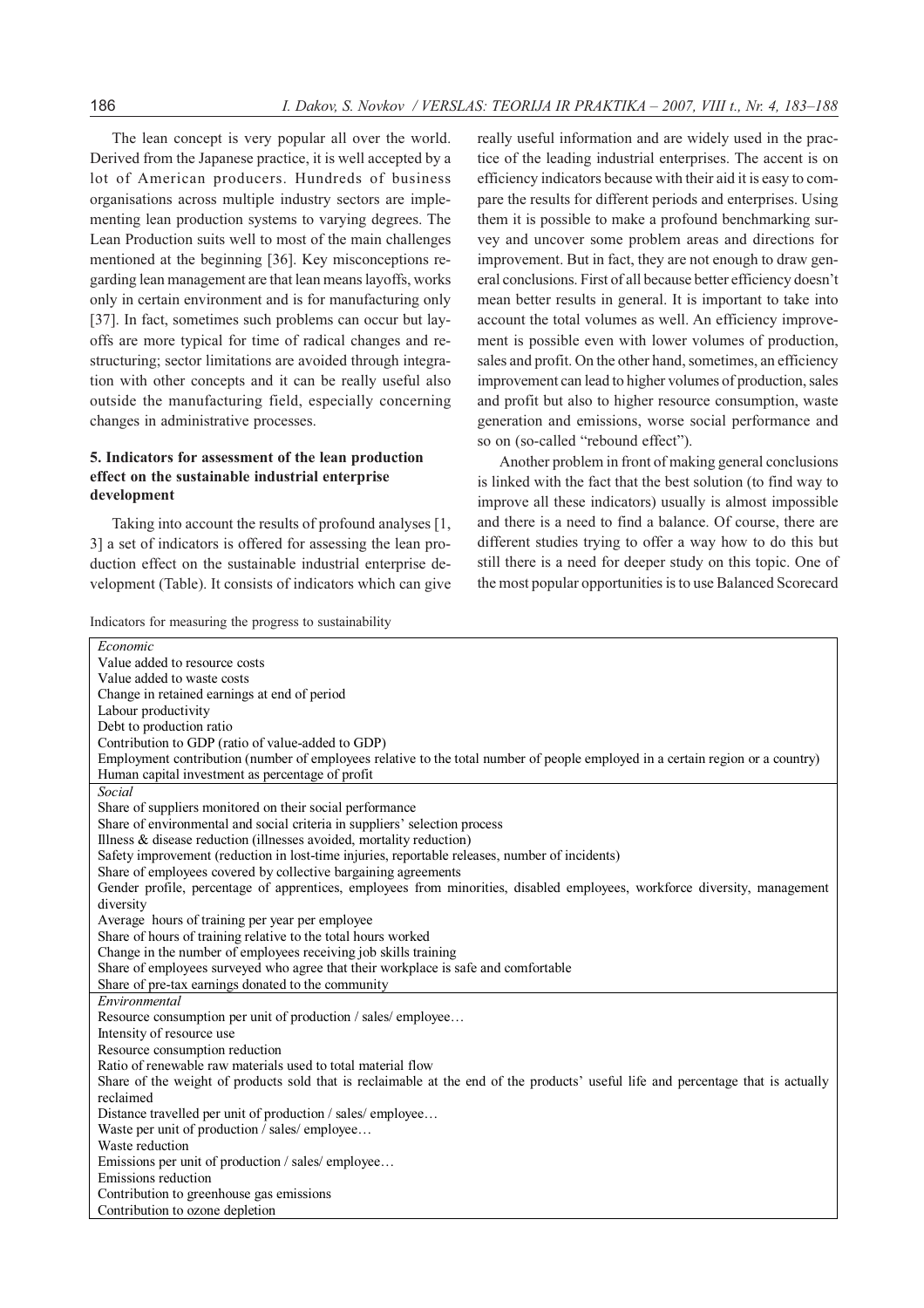The lean concept is very popular all over the world. Derived from the Japanese practice, it is well accepted by a lot of American producers. Hundreds of business organisations across multiple industry sectors are implementing lean production systems to varying degrees. The Lean Production suits well to most of the main challenges mentioned at the beginning [36]. Key misconceptions regarding lean management are that lean means layoffs, works only in certain environment and is for manufacturing only [37]. In fact, sometimes such problems can occur but layoffs are more typical for time of radical changes and restructuring; sector limitations are avoided through integration with other concepts and it can be really useful also outside the manufacturing field, especially concerning changes in administrative processes.

## 5. Indicators for assessment of the lean production effect on the sustainable industrial enterprise development

Taking into account the results of profound analyses [1, 3] a set of indicators is offered for assessing the lean production effect on the sustainable industrial enterprise development (Table). It consists of indicators which can give really useful information and are widely used in the practice of the leading industrial enterprises. The accent is on efficiency indicators because with their aid it is easy to compare the results for different periods and enterprises. Using them it is possible to make a profound benchmarking survey and uncover some problem areas and directions for improvement. But in fact, they are not enough to draw general conclusions. First of all because better efficiency doesn't mean better results in general. It is important to take into account the total volumes as well. An efficiency improvement is possible even with lower volumes of production, sales and profit. On the other hand, sometimes, an efficiency improvement can lead to higher volumes of production, sales and profit but also to higher resource consumption, waste generation and emissions, worse social performance and so on (so-called "rebound effect").

Another problem in front of making general conclusions is linked with the fact that the best solution (to find way to improve all these indicators) usually is almost impossible and there is a need to find a balance. Of course, there are different studies trying to offer a way how to do this but still there is a need for deeper study on this topic. One of the most popular opportunities is to use Balanced Scorecard

| Indicators for measuring the progress to sustainability |  |  |  |  |
|---------------------------------------------------------|--|--|--|--|
|---------------------------------------------------------|--|--|--|--|

| Economic                                                                                                                         |
|----------------------------------------------------------------------------------------------------------------------------------|
| Value added to resource costs                                                                                                    |
| Value added to waste costs                                                                                                       |
| Change in retained earnings at end of period                                                                                     |
| Labour productivity                                                                                                              |
| Debt to production ratio                                                                                                         |
| Contribution to GDP (ratio of value-added to GDP)                                                                                |
| Employment contribution (number of employees relative to the total number of people employed in a certain region or a country)   |
| Human capital investment as percentage of profit                                                                                 |
| Social                                                                                                                           |
| Share of suppliers monitored on their social performance                                                                         |
| Share of environmental and social criteria in suppliers' selection process                                                       |
| Illness & disease reduction (illnesses avoided, mortality reduction)                                                             |
| Safety improvement (reduction in lost-time injuries, reportable releases, number of incidents)                                   |
| Share of employees covered by collective bargaining agreements                                                                   |
| Gender profile, percentage of apprentices, employees from minorities, disabled employees, workforce diversity, management        |
| diversity                                                                                                                        |
| Average hours of training per year per employee                                                                                  |
| Share of hours of training relative to the total hours worked                                                                    |
| Change in the number of employees receiving job skills training                                                                  |
| Share of employees surveyed who agree that their workplace is safe and comfortable                                               |
| Share of pre-tax earnings donated to the community                                                                               |
| Environmental                                                                                                                    |
| Resource consumption per unit of production / sales/ employee                                                                    |
| Intensity of resource use                                                                                                        |
| Resource consumption reduction                                                                                                   |
| Ratio of renewable raw materials used to total material flow                                                                     |
| Share of the weight of products sold that is reclaimable at the end of the products' useful life and percentage that is actually |
| reclaimed                                                                                                                        |
| Distance travelled per unit of production / sales/employee                                                                       |
| Waste per unit of production / sales/ employee                                                                                   |
| Waste reduction                                                                                                                  |
| Emissions per unit of production / sales/ employee                                                                               |
| Emissions reduction                                                                                                              |
| Contribution to greenhouse gas emissions                                                                                         |
| Contribution to ozone depletion                                                                                                  |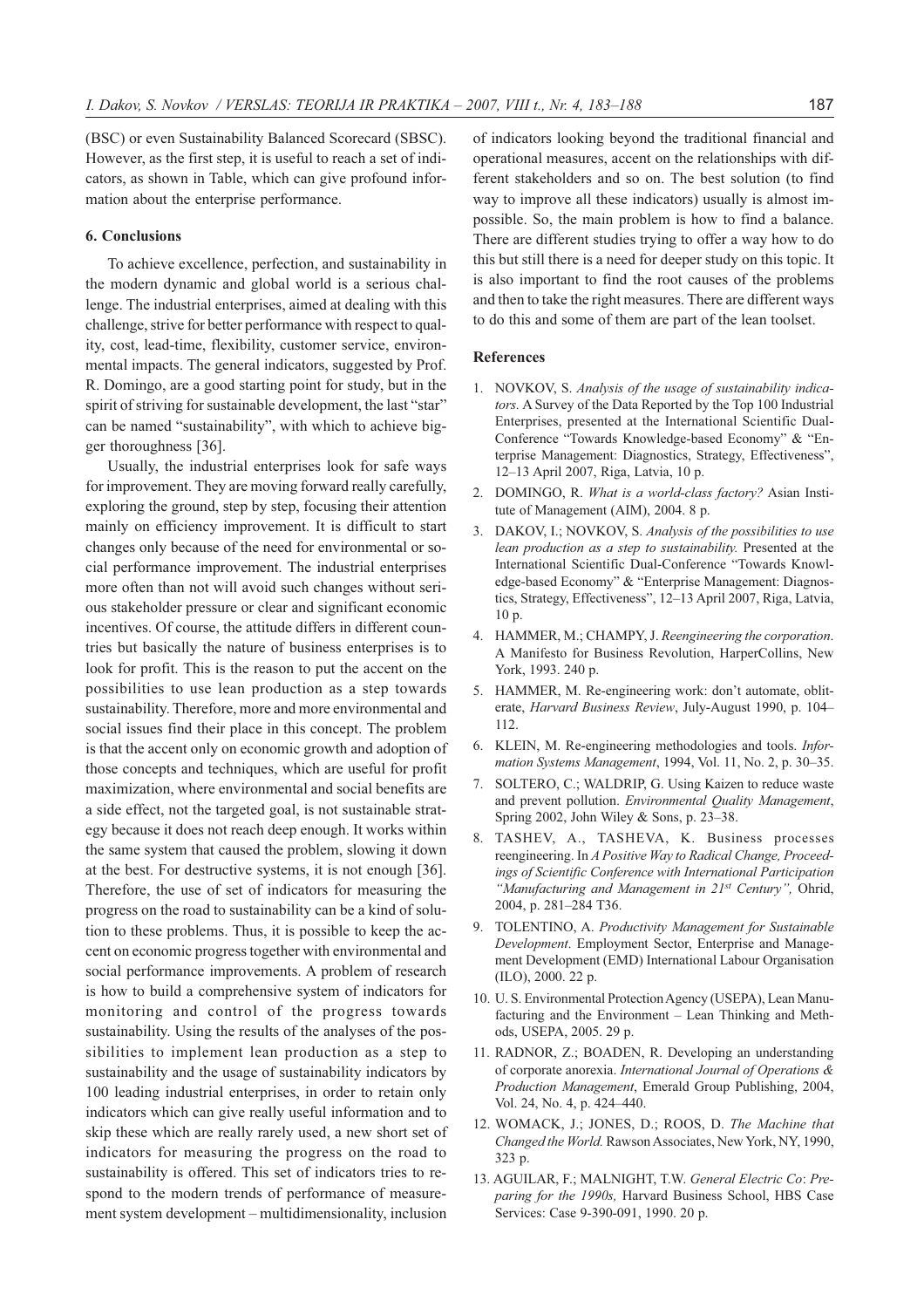(BSC) or even Sustainability Balanced Scorecard (SBSC). However, as the first step, it is useful to reach a set of indicators, as shown in Table, which can give profound information about the enterprise performance.

#### 6. Conclusions

To achieve excellence, perfection, and sustainability in the modern dynamic and global world is a serious challenge. The industrial enterprises, aimed at dealing with this challenge, strive for better performance with respect to quality, cost, lead-time, flexibility, customer service, environmental impacts. The general indicators, suggested by Prof. R. Domingo, are a good starting point for study, but in the spirit of striving for sustainable development, the last "star" can be named "sustainability", with which to achieve bigger thoroughness [36].

Usually, the industrial enterprises look for safe ways for improvement. They are moving forward really carefully, exploring the ground, step by step, focusing their attention mainly on efficiency improvement. It is difficult to start changes only because of the need for environmental or social performance improvement. The industrial enterprises more often than not will avoid such changes without serious stakeholder pressure or clear and significant economic incentives. Of course, the attitude differs in different countries but basically the nature of business enterprises is to look for profit. This is the reason to put the accent on the possibilities to use lean production as a step towards sustainability. Therefore, more and more environmental and social issues find their place in this concept. The problem is that the accent only on economic growth and adoption of those concepts and techniques, which are useful for profit maximization, where environmental and social benefits are a side effect, not the targeted goal, is not sustainable strategy because it does not reach deep enough. It works within the same system that caused the problem, slowing it down at the best. For destructive systems, it is not enough [36]. Therefore, the use of set of indicators for measuring the progress on the road to sustainability can be a kind of solution to these problems. Thus, it is possible to keep the accent on economic progress together with environmental and social performance improvements. A problem of research is how to build a comprehensive system of indicators for monitoring and control of the progress towards sustainability. Using the results of the analyses of the possibilities to implement lean production as a step to sustainability and the usage of sustainability indicators by 100 leading industrial enterprises, in order to retain only indicators which can give really useful information and to skip these which are really rarely used, a new short set of indicators for measuring the progress on the road to sustainability is offered. This set of indicators tries to respond to the modern trends of performance of measurement system development – multidimensionality, inclusion

of indicators looking beyond the traditional financial and operational measures, accent on the relationships with different stakeholders and so on. The best solution (to find way to improve all these indicators) usually is almost impossible. So, the main problem is how to find a balance. There are different studies trying to offer a way how to do this but still there is a need for deeper study on this topic. It is also important to find the root causes of the problems and then to take the right measures. There are different ways to do this and some of them are part of the lean toolset.

#### References

- 1. NOVKOV, S. Analysis of the usage of sustainability indicators. A Survey of the Data Reported by the Top 100 Industrial Enterprises, presented at the International Scientific Dual-Conference "Towards Knowledge-based Economy" & "Enterprise Management: Diagnostics, Strategy, Effectiveness", 12–13 April 2007, Riga, Latvia, 10 p.
- 2. DOMINGO, R. What is a world-class factory? Asian Institute of Management (AIM), 2004. 8 p.
- 3. DAKOV, I.; NOVKOV, S. Analysis of the possibilities to use lean production as a step to sustainability. Presented at the International Scientific Dual-Conference "Towards Knowledge-based Economy" & "Enterprise Management: Diagnostics, Strategy, Effectiveness", 12–13 April 2007, Riga, Latvia, 10 p.
- 4. HAMMER, M.; CHAMPY, J. Reengineering the corporation. A Manifesto for Business Revolution, HarperCollins, New York, 1993. 240 p.
- 5. HAMMER, M. Re-engineering work: don't automate, obliterate, Harvard Business Review, July-August 1990, p. 104– 112.
- 6. KLEIN, M. Re-engineering methodologies and tools. Information Systems Management, 1994, Vol. 11, No. 2, p. 30–35.
- 7. SOLTERO, C.; WALDRIP, G. Using Kaizen to reduce waste and prevent pollution. Environmental Quality Management, Spring 2002, John Wiley & Sons, p. 23–38.
- 8. TASHEV, A., TASHEVA, K. Business processes reengineering. In A Positive Way to Radical Change, Proceedings of Scientific Conference with International Participation "Manufacturing and Management in 21<sup>st</sup> Century", Ohrid, 2004, p. 281–284 T36.
- 9. TOLENTINO, A. Productivity Management for Sustainable Development. Employment Sector, Enterprise and Management Development (EMD) International Labour Organisation (ILO), 2000. 22 p.
- 10. U. S. Environmental Protection Agency (USEPA), Lean Manufacturing and the Environment – Lean Thinking and Methods, USEPA, 2005. 29 p.
- 11. RADNOR, Z.; BOADEN, R. Developing an understanding of corporate anorexia. International Journal of Operations & Production Management, Emerald Group Publishing, 2004, Vol. 24, No. 4, p. 424–440.
- 12. WOMACK, J.; JONES, D.; ROOS, D. The Machine that Changed the World. Rawson Associates, New York, NY, 1990, 323 p.
- 13. AGUILAR, F.; MALNIGHT, T.W. General Electric Co: Preparing for the 1990s, Harvard Business School, HBS Case Services: Case 9-390-091, 1990. 20 p.